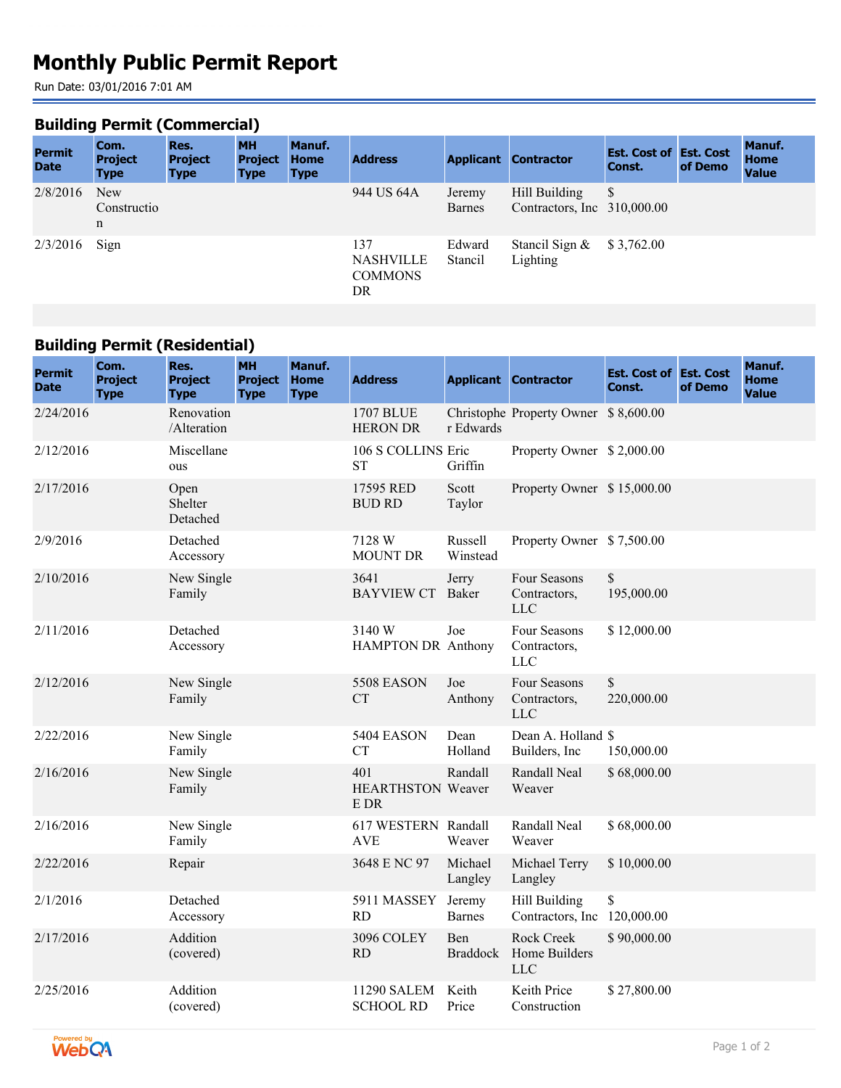# **Monthly Public Permit Report**

Run Date: 03/01/2016 7:01 AM

#### **Building Permit (Commercial)**

| <b>Permit</b><br><b>Date</b> | Com.<br><b>Project</b><br><b>Type</b> | Res.<br><b>Project</b><br><b>Type</b> | <b>MH</b><br><b>Project</b><br><b>Type</b> | Manuf.<br><b>Home</b><br><b>Type</b> | <b>Address</b>                                  |                         | <b>Applicant Contractor</b>                     | <b>Est. Cost of Est. Cost</b><br>Const. | of Demo | Manuf.<br><b>Home</b><br><b>Value</b> |
|------------------------------|---------------------------------------|---------------------------------------|--------------------------------------------|--------------------------------------|-------------------------------------------------|-------------------------|-------------------------------------------------|-----------------------------------------|---------|---------------------------------------|
| 2/8/2016                     | <b>New</b><br>Constructio<br>n        |                                       |                                            |                                      | 944 US 64A                                      | Jeremy<br><b>Barnes</b> | Hill Building<br>Contractors, Inc. $310,000,00$ | S                                       |         |                                       |
| 2/3/2016                     | Sign                                  |                                       |                                            |                                      | 137<br><b>NASHVILLE</b><br><b>COMMONS</b><br>DR | Edward<br>Stancil       | Stancil Sign &<br>Lighting                      | \$3,762.00                              |         |                                       |

### **Building Permit (Residential)**

| <b>Permit</b><br><b>Date</b> | Com.<br><b>Project</b><br><b>Type</b> | Res.<br><b>Project</b><br><b>Type</b> | <b>MH</b><br><b>Project</b><br><b>Type</b> | Manuf.<br><b>Home</b><br><b>Type</b> | <b>Address</b>                          |                         | <b>Applicant Contractor</b>                  | <b>Est. Cost of Est. Cost</b><br>Const. | of Demo | Manuf.<br><b>Home</b><br><b>Value</b> |
|------------------------------|---------------------------------------|---------------------------------------|--------------------------------------------|--------------------------------------|-----------------------------------------|-------------------------|----------------------------------------------|-----------------------------------------|---------|---------------------------------------|
| 2/24/2016                    |                                       | Renovation<br>/Alteration             |                                            |                                      | <b>1707 BLUE</b><br><b>HERON DR</b>     | r Edwards               | Christophe Property Owner \$8,600.00         |                                         |         |                                       |
| 2/12/2016                    |                                       | Miscellane<br>ous                     |                                            |                                      | 106 S COLLINS Eric<br><b>ST</b>         | Griffin                 | Property Owner \$2,000.00                    |                                         |         |                                       |
| 2/17/2016                    |                                       | Open<br>Shelter<br>Detached           |                                            |                                      | 17595 RED<br><b>BUD RD</b>              | Scott<br>Taylor         | Property Owner \$15,000.00                   |                                         |         |                                       |
| 2/9/2016                     |                                       | Detached<br>Accessory                 |                                            |                                      | 7128 W<br><b>MOUNT DR</b>               | Russell<br>Winstead     | Property Owner \$7,500.00                    |                                         |         |                                       |
| 2/10/2016                    |                                       | New Single<br>Family                  |                                            |                                      | 3641<br><b>BAYVIEW CT</b> Baker         | Jerry                   | Four Seasons<br>Contractors,<br><b>LLC</b>   | $\mathbb{S}$<br>195,000.00              |         |                                       |
| 2/11/2016                    |                                       | Detached<br>Accessory                 |                                            |                                      | 3140W<br>HAMPTON DR Anthony             | Joe                     | Four Seasons<br>Contractors,<br><b>LLC</b>   | \$12,000.00                             |         |                                       |
| 2/12/2016                    |                                       | New Single<br>Family                  |                                            |                                      | <b>5508 EASON</b><br><b>CT</b>          | Joe<br>Anthony          | Four Seasons<br>Contractors,<br><b>LLC</b>   | $\mathbb{S}$<br>220,000.00              |         |                                       |
| 2/22/2016                    |                                       | New Single<br>Family                  |                                            |                                      | <b>5404 EASON</b><br><b>CT</b>          | Dean<br>Holland         | Dean A. Holland \$<br>Builders, Inc.         | 150,000.00                              |         |                                       |
| 2/16/2016                    |                                       | New Single<br>Family                  |                                            |                                      | 401<br><b>HEARTHSTON Weaver</b><br>E DR | Randall                 | Randall Neal<br>Weaver                       | \$68,000.00                             |         |                                       |
| 2/16/2016                    |                                       | New Single<br>Family                  |                                            |                                      | 617 WESTERN Randall<br><b>AVE</b>       | Weaver                  | Randall Neal<br>Weaver                       | \$68,000.00                             |         |                                       |
| 2/22/2016                    |                                       | Repair                                |                                            |                                      | 3648 E NC 97                            | Michael<br>Langley      | Michael Terry<br>Langley                     | \$10,000.00                             |         |                                       |
| 2/1/2016                     |                                       | Detached<br>Accessory                 |                                            |                                      | 5911 MASSEY<br><b>RD</b>                | Jeremy<br><b>Barnes</b> | Hill Building<br>Contractors, Inc 120,000.00 | \$                                      |         |                                       |
| 2/17/2016                    |                                       | Addition<br>(covered)                 |                                            |                                      | <b>3096 COLEY</b><br><b>RD</b>          | Ben<br><b>Braddock</b>  | Rock Creek<br>Home Builders<br><b>LLC</b>    | \$90,000.00                             |         |                                       |
| 2/25/2016                    |                                       | Addition<br>(covered)                 |                                            |                                      | 11290 SALEM<br><b>SCHOOL RD</b>         | Keith<br>Price          | Keith Price<br>Construction                  | \$27,800.00                             |         |                                       |